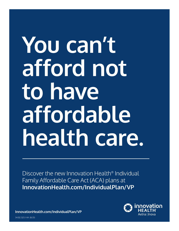## **You can't afford not to have affordable health care.**

Discover the new Innovation Health® Individual Family Affordable Care Act (ACA) plans at **[InnovationHealth.com/IndividualPlan/VP](http://www.InnovationHealth.com/IndividualPlan/VP)** 

> innovation Aetna I Inova

**[InnovationHealth.com/IndividualPlan/VP](http://www.InnovationHealth.com/IndividualPlan/VP)**  34.02.323.1 -VA (8/21)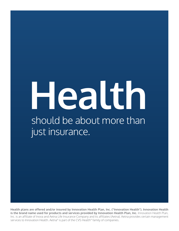# **Health**<br>
should be about more than just insurance.

**Health plans are offered and/or insured by Innovation Health Plan, Inc. ("Innovation Health"). Innovation Health is the brand name used for products and services provided by Innovation Health Plan, Inc. Innovation Health Plan,** Inc. is an affiliate of Inova and Aetna Life Insurance Company and its affiliates (Aetna). Aetna provides certain management services to Innovation Health. Aetna® is part of the CVS Health® family of companies.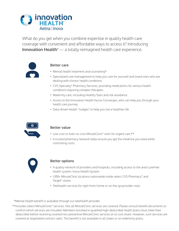

What do you get when you combine expertise in quality health care coverage with convenient and affordable ways to access it? Introducing **Innovation Health<sup>®</sup>** — a totally reimagined health care experience.



## **Better care**

- Mental health treatment and counseling\*
- Specialized care management to help you care for yourself and loved ones who are dealing with chronic health conditions
- CVS Specialty® Pharmacy Services, providing medications for serious health conditions requiring complex therapies
- Maternity care, including Healthy Start and risk avoidance
- Access to the Innovation Health Nurse Concierges, who can help you through your health care journey.
- Data-driven health "nudges" to help you live a healthier life



### **Better value**

- Low-cost or even no-cost MinuteClinic<sup>®</sup> visits for urgent care.\*\*
- A trusted pharmacy network helps ensure you get the medicine you need while controlling costs.



### **Better options**

- A quality network of providers and hospitals, including access to the area's premier health system, Inova Health System.
- 1,100+ MinuteClinic locations nationwide inside select CVS Pharmacy® and Target® stores
- Telehealth services for right-from-home or on-the-go provider visits

\*Mental health benefit is available through our telehealth provider.

\*\*Includes select MinuteClinic® services. Not all MinuteClinic services are covered. Please consult benefit documents to confirm which services are included. Members enrolled in qualified high-deductible health plans must meet their deductible before receiving covered non-preventive MinuteClinic services at no cost-share. However, such services are covered at negotiated contract rates. This benefit is not available in all states or on indemnity plans.